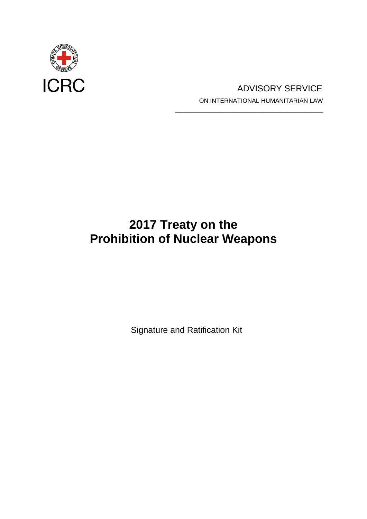

# ICRC ADVISORY SERVICE ON INTERNATIONAL HUMANITARIAN LAW \_\_\_\_\_\_\_\_\_\_\_\_\_\_\_\_\_\_\_\_\_\_\_\_\_\_\_\_\_\_\_\_\_\_\_\_

# **2017 Treaty on the Prohibition of Nuclear Weapons**

Signature and Ratification Kit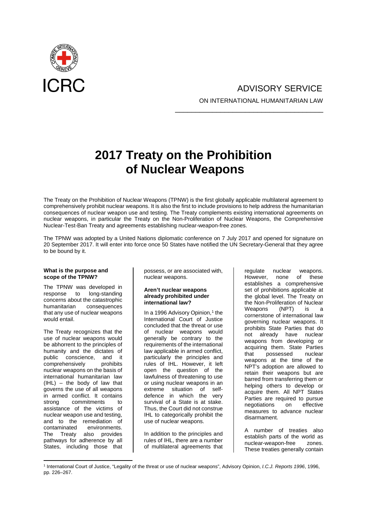

# ADVISORY SERVICE ON INTERNATIONAL HUMANITARIAN LAW

\_\_\_\_\_\_\_\_\_\_\_\_\_\_\_\_\_\_\_\_\_\_\_\_\_\_\_\_\_\_\_\_\_\_\_\_

# **2017 Treaty on the Prohibition of Nuclear Weapons**

The Treaty on the Prohibition of Nuclear Weapons (TPNW) is the first globally applicable multilateral agreement to comprehensively prohibit nuclear weapons. It is also the first to include provisions to help address the humanitarian consequences of nuclear weapon use and testing. The Treaty complements existing international agreements on nuclear weapons, in particular the Treaty on the Non-Proliferation of Nuclear Weapons, the Comprehensive Nuclear-Test-Ban Treaty and agreements establishing nuclear-weapon-free zones.

The TPNW was adopted by a United Nations diplomatic conference on 7 July 2017 and opened for signature on 20 September 2017. It will enter into force once 50 States have notified the UN Secretary-General that they agree to be bound by it.

#### **What is the purpose and scope of the TPNW?**

The TPNW was developed in response to long-standing concerns about the catastrophic<br>humanitarian consequences consequences that any use of nuclear weapons would entail.

The Treaty recognizes that the use of nuclear weapons would be abhorrent to the principles of humanity and the dictates of public conscience, and it<br>comprehensively prohibits comprehensively nuclear weapons on the basis of international humanitarian law (IHL) – the body of law that governs the use of all weapons in armed conflict. It contains strong commitments to assistance of the victims of nuclear weapon use and testing, and to the remediation of<br>contaminated environments. environments. The Treaty also provides pathways for adherence by all States, including those that

possess, or are associated with, nuclear weapons.

#### **Aren't nuclear weapons already prohibited under international law?**

In a 1996 Advisory Opinion, [1](#page-1-0) the International Court of Justice concluded that the threat or use of nuclear weapons would generally be contrary to the requirements of the international law applicable in armed conflict, particularly the principles and rules of IHL. However, it left open the question of the lawfulness of threatening to use or using nuclear weapons in an extreme situation of selfdefence in which the very survival of a State is at stake. Thus, the Court did not construe IHL to categorically prohibit the use of nuclear weapons.

In addition to the principles and rules of IHL, there are a number of multilateral agreements that

regulate nuclear weapons.<br>However, none of these However, none establishes a comprehensive set of prohibitions applicable at the global level. The Treaty on the Non-Proliferation of Nuclear<br>Weapons (NPT) is a Weapons (NPT) is a cornerstone of international law governing nuclear weapons. It prohibits State Parties that do not already have nuclear weapons from developing or acquiring them. State Parties that possessed weapons at the time of the NPT's adoption are allowed to retain their weapons but are barred from transferring them or helping others to develop or acquire them. All NPT States Parties are required to pursue<br>negotiations on effective negotiations on measures to advance nuclear disarmament.

A number of treaties also establish parts of the world as<br>nuclear-weapon-free zones. nuclear-weapon-free These treaties generally contain

<span id="page-1-0"></span><sup>1</sup> International Court of Justice, "Legality of the threat or use of nuclear weapons", Advisory Opinion, *I.C.J. Reports 1996*, 1996, pp. 226–267.  $\overline{a}$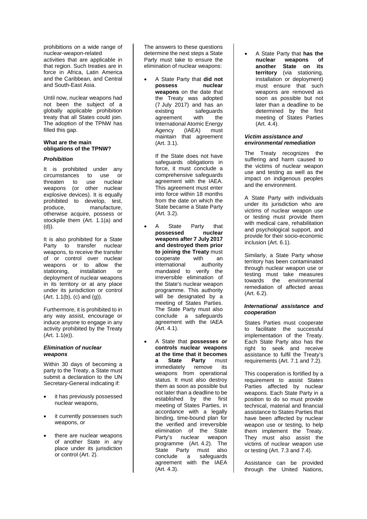prohibitions on a wide range of nuclear-weapon-related activities that are applicable in that region. Such treaties are in force in Africa, Latin America and the Caribbean, and Central and South-East Asia.

Until now, nuclear weapons had not been the subject of a globally applicable prohibition treaty that all States could join. The adoption of the TPNW has filled this gap.

#### **What are the main obligations of the TPNW?**

#### *Prohibition*

It is prohibited under any circumstances to use or threaten to use nuclear weapons (or other nuclear explosive devices). It is equally prohibited to develop, test,<br>produce. manufacture. manufacture, otherwise acquire, possess or stockpile them (Art. 1.1(a) and  $(d)$ ).

It is also prohibited for a State Party to transfer nuclear weapons, to receive the transfer of or control over nuclear weapons or to allow the stationing, installation or deployment of nuclear weapons in its territory or at any place under its jurisdiction or control  $(Art. 1.1(b), (c)$  and  $(q)$ ).

Furthermore, it is prohibited to in any way assist, encourage or induce anyone to engage in any activity prohibited by the Treaty (Art. 1.1(e)).

#### *Elimination of nuclear weapons*

Within 30 days of becoming a party to the Treaty, a State must submit a declaration to the UN Secretary-General indicating if:

- it has previously possessed nuclear weapons,
- it currently possesses such weapons, or
- there are nuclear weapons of another State in any place under its jurisdiction or control (Art. 2).

The answers to these questions determine the next steps a State Party must take to ensure the elimination of nuclear weapons:

• A State Party that **did not possess nuclear weapons** on the date that the Treaty was adopted (7 July 2017) and has an<br>existing safeguards safeguards<br>with the agreement with the International Atomic Energy Agency (IAEA) must maintain that agreement (Art. 3.1).

If the State does not have safeguards obligations in force, it must conclude a comprehensive safeguards agreement with the IAEA. This agreement must enter into force within 18 months from the date on which the State became a State Party (Art. 3.2).

- A State Party that<br>possessed nuclear **possessed weapons after 7 July 2017 and destroyed them prior to joining the Treaty** must<br>cooperate with an cooperate with an<br>international authority international mandated to verify the irreversible elimination of the State's nuclear weapon programme. This authority will be designated by a meeting of States Parties. The State Party must also conclude a safeguards agreement with the IAEA (Art. 4.1).
- A State that **possesses or controls nuclear weapons at the time that it becomes State Party** immediately remove its weapons from operational status. It must also destroy them as soon as possible but not later than a deadline to be established by the first meeting of States Parties, in accordance with a legally binding, time-bound plan for the verified and irreversible elimination of the State<br>Party's nuclear weapon nuclear weapon programme (Art. 4.2). The State Party must also<br>conclude a safeguards conclude a safeguards agreement with the IAEA (Art. 4.3).

• A State Party that **has the nuclear weapons of State** on **territory** (via stationing, installation or deployment) must ensure that such weapons are removed as soon as possible but not later than a deadline to be determined by the first meeting of States Parties (Art. 4.4).

#### *Victim assistance and environmental remediation*

The Treaty recognizes the suffering and harm caused to the victims of nuclear weapon use and testing as well as the impact on indigenous peoples and the environment.

A State Party with individuals under its jurisdiction who are victims of nuclear weapon use or testing must provide them with medical care, rehabilitation and psychological support, and provide for their socio-economic inclusion (Art. 6.1).

Similarly, a State Party whose territory has been contaminated through nuclear weapon use or testing must take measures towards the environmental remediation of affected areas (Art. 6.2).

#### *International assistance and cooperation*

States Parties must cooperate to facilitate the successful implementation of the Treaty. Each State Party also has the right to seek and receive assistance to fulfil the Treaty's requirements (Art. 7.1 and 7.2).

This cooperation is fortified by a requirement to assist States Parties affected by nuclear weapons. Each State Party in a position to do so must provide technical, material and financial assistance to States Parties that have been affected by nuclear weapon use or testing, to help them implement the Treaty. They must also assist the victims of nuclear weapon use or testing (Art. 7.3 and 7.4).

Assistance can be provided through the United Nations,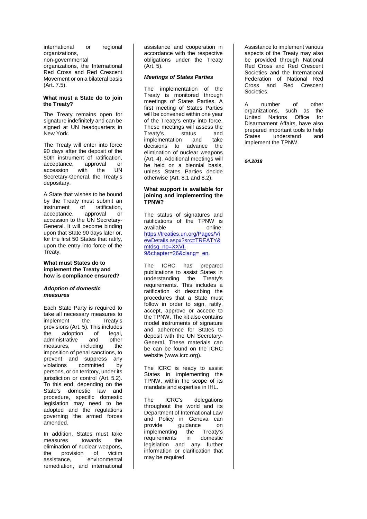international or regional organizations, non-governmental organizations, the International Red Cross and Red Crescent Movement or on a bilateral basis (Art. 7.5).

#### **What must a State do to join the Treaty?**

The Treaty remains open for signature indefinitely and can be signed at UN headquarters in New York.

The Treaty will enter into force 90 days after the deposit of the 50th instrument of ratification, acceptance, approval or<br>accession with the UN accession with the Secretary-General, the Treaty's depositary.

A State that wishes to be bound by the Treaty must submit an instrument of ratification,<br>acceptance. approval or acceptance, approval or accession to the UN Secretary-General. It will become binding upon that State 90 days later or, for the first 50 States that ratify, upon the entry into force of the Treaty.

#### **What must States do to implement the Treaty and how is compliance ensured?**

#### *Adoption of domestic measures*

Each State Party is required to take all necessary measures to<br>implement the Treaty's implement provisions (Art. 5). This includes the adoption of legal,<br>administrative and other administrative and other<br>measures, including the measures, imposition of penal sanctions, to prevent and suppress any<br>violations committed by violations committed persons, or on territory, under its jurisdiction or control (Art. 5.2). To this end, depending on the State's domestic law and procedure, specific domestic legislation may need to be adopted and the regulations governing the armed forces amended.

In addition, States must take<br>measures towards the measures elimination of nuclear weapons, the provision of victim assistance, environmental remediation, and international assistance and cooperation in accordance with the respective obligations under the Treaty (Art. 5).

#### *Meetings of States Parties*

The implementation of the Treaty is monitored through meetings of States Parties. A first meeting of States Parties will be convened within one year of the Treaty's entry into force. These meetings will assess the Treaty's status and implementation and take decisions to advance the elimination of nuclear weapons (Art. 4). Additional meetings will be held on a biennial basis, unless States Parties decide otherwise (Art. 8.1 and 8.2).

#### **What support is available for joining and implementing the TPNW?**

The status of signatures and ratifications of the TPNW is available online: [https://treaties.un.org/Pages/Vi](https://treaties.un.org/Pages/ViewDetails.aspx?src=TREATY&mtdsg_no=XXVI-9&chapter=26&clang=_en) [ewDetails.aspx?src=TREATY&](https://treaties.un.org/Pages/ViewDetails.aspx?src=TREATY&mtdsg_no=XXVI-9&chapter=26&clang=_en) [mtdsg\\_no=XXVI-](https://treaties.un.org/Pages/ViewDetails.aspx?src=TREATY&mtdsg_no=XXVI-9&chapter=26&clang=_en)[9&chapter=26&clang=\\_en.](https://treaties.un.org/Pages/ViewDetails.aspx?src=TREATY&mtdsg_no=XXVI-9&chapter=26&clang=_en)

The ICRC has prepared publications to assist States in<br>understanding the Treaty's understanding the requirements. This includes a ratification kit describing the procedures that a State must follow in order to sign, ratify, accept, approve or accede to the TPNW. The kit also contains model instruments of signature and adherence for States to deposit with the UN Secretary-General. These materials can be can be found on the ICRC website (www.icrc.org).

The ICRC is ready to assist States in implementing the TPNW, within the scope of its mandate and expertise in IHL.

The ICRC's delegations throughout the world and its Department of International Law and Policy in Geneva can provide guidance on<br>implementing the Treaty's implementing the Treaty's<br>requirements in domestic requirements legislation and any further information or clarification that may be required.

Assistance to implement various aspects of the Treaty may also be provided through National Red Cross and Red Crescent Societies and the International Federation of National Red Cross and Red Crescent Societies.

A number of other<br>organizations such as the organizations, such as United Nations Office for Disarmament Affairs, have also prepared important tools to help States understand and implement the TPNW.

*04.2018*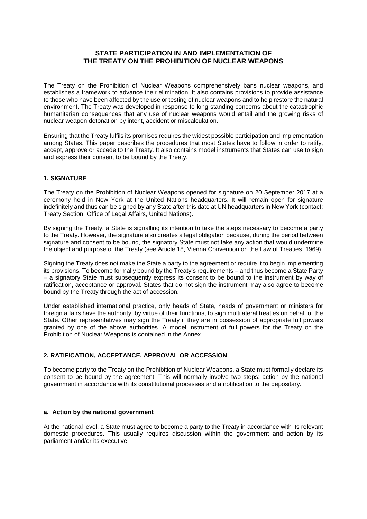# **STATE PARTICIPATION IN AND IMPLEMENTATION OF THE TREATY ON THE PROHIBITION OF NUCLEAR WEAPONS**

The Treaty on the Prohibition of Nuclear Weapons comprehensively bans nuclear weapons, and establishes a framework to advance their elimination. It also contains provisions to provide assistance to those who have been affected by the use or testing of nuclear weapons and to help restore the natural environment. The Treaty was developed in response to long-standing concerns about the catastrophic humanitarian consequences that any use of nuclear weapons would entail and the growing risks of nuclear weapon detonation by intent, accident or miscalculation.

Ensuring that the Treaty fulfils its promises requires the widest possible participation and implementation among States. This paper describes the procedures that most States have to follow in order to ratify, accept, approve or accede to the Treaty. It also contains model instruments that States can use to sign and express their consent to be bound by the Treaty.

# **1. SIGNATURE**

The Treaty on the Prohibition of Nuclear Weapons opened for signature on 20 September 2017 at a ceremony held in New York at the United Nations headquarters. It will remain open for signature indefinitely and thus can be signed by any State after this date at UN headquarters in New York (contact: Treaty Section, Office of Legal Affairs, United Nations).

By signing the Treaty, a State is signalling its intention to take the steps necessary to become a party to the Treaty. However, the signature also creates a legal obligation because, during the period between signature and consent to be bound, the signatory State must not take any action that would undermine the object and purpose of the Treaty (see Article 18, Vienna Convention on the Law of Treaties, 1969).

Signing the Treaty does not make the State a party to the agreement or require it to begin implementing its provisions. To become formally bound by the Treaty's requirements – and thus become a State Party – a signatory State must subsequently express its consent to be bound to the instrument by way of ratification, acceptance or approval. States that do not sign the instrument may also agree to become bound by the Treaty through the act of accession.

Under established international practice, only heads of State, heads of government or ministers for foreign affairs have the authority, by virtue of their functions, to sign multilateral treaties on behalf of the State. Other representatives may sign the Treaty if they are in possession of appropriate full powers granted by one of the above authorities. A model instrument of full powers for the Treaty on the Prohibition of Nuclear Weapons is contained in the Annex.

# **2. RATIFICATION, ACCEPTANCE, APPROVAL OR ACCESSION**

To become party to the Treaty on the Prohibition of Nuclear Weapons, a State must formally declare its consent to be bound by the agreement. This will normally involve two steps: action by the national government in accordance with its constitutional processes and a notification to the depositary.

### **a. Action by the national government**

At the national level, a State must agree to become a party to the Treaty in accordance with its relevant domestic procedures. This usually requires discussion within the government and action by its parliament and/or its executive.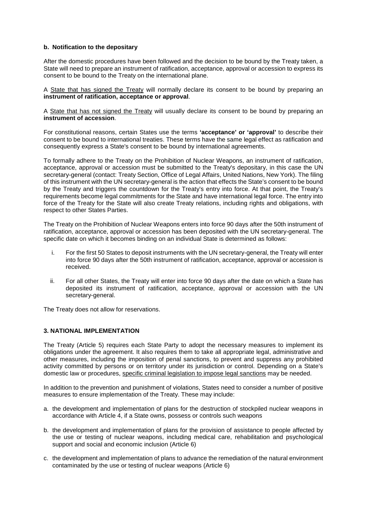# **b. Notification to the depositary**

After the domestic procedures have been followed and the decision to be bound by the Treaty taken, a State will need to prepare an instrument of ratification, acceptance, approval or accession to express its consent to be bound to the Treaty on the international plane.

A State that has signed the Treaty will normally declare its consent to be bound by preparing an **instrument of ratification, acceptance or approval**.

A State that has not signed the Treaty will usually declare its consent to be bound by preparing an **instrument of accession**.

For constitutional reasons, certain States use the terms **'acceptance' or 'approval'** to describe their consent to be bound to international treaties. These terms have the same legal effect as ratification and consequently express a State's consent to be bound by international agreements.

To formally adhere to the Treaty on the Prohibition of Nuclear Weapons, an instrument of ratification, acceptance, approval or accession must be submitted to the Treaty's depositary, in this case the UN secretary-general (contact: Treaty Section, Office of Legal Affairs, United Nations, New York). The filing of this instrument with the UN secretary-general is the action that effects the State's consent to be bound by the Treaty and triggers the countdown for the Treaty's entry into force. At that point, the Treaty's requirements become legal commitments for the State and have international legal force. The entry into force of the Treaty for the State will also create Treaty relations, including rights and obligations, with respect to other States Parties.

The Treaty on the Prohibition of Nuclear Weapons enters into force 90 days after the 50th instrument of ratification, acceptance, approval or accession has been deposited with the UN secretary-general. The specific date on which it becomes binding on an individual State is determined as follows:

- i. For the first 50 States to deposit instruments with the UN secretary-general, the Treaty will enter into force 90 days after the 50th instrument of ratification, acceptance, approval or accession is received.
- ii. For all other States, the Treaty will enter into force 90 days after the date on which a State has deposited its instrument of ratification, acceptance, approval or accession with the UN secretary-general.

The Treaty does not allow for reservations.

# **3. NATIONAL IMPLEMENTATION**

The Treaty (Article 5) requires each State Party to adopt the necessary measures to implement its obligations under the agreement. It also requires them to take all appropriate legal, administrative and other measures, including the imposition of penal sanctions, to prevent and suppress any prohibited activity committed by persons or on territory under its jurisdiction or control. Depending on a State's domestic law or procedures, specific criminal legislation to impose legal sanctions may be needed.

In addition to the prevention and punishment of violations, States need to consider a number of positive measures to ensure implementation of the Treaty. These may include:

- a. the development and implementation of plans for the destruction of stockpiled nuclear weapons in accordance with Article 4, if a State owns, possess or controls such weapons
- b. the development and implementation of plans for the provision of assistance to people affected by the use or testing of nuclear weapons, including medical care, rehabilitation and psychological support and social and economic inclusion (Article 6)
- c. the development and implementation of plans to advance the remediation of the natural environment contaminated by the use or testing of nuclear weapons (Article 6)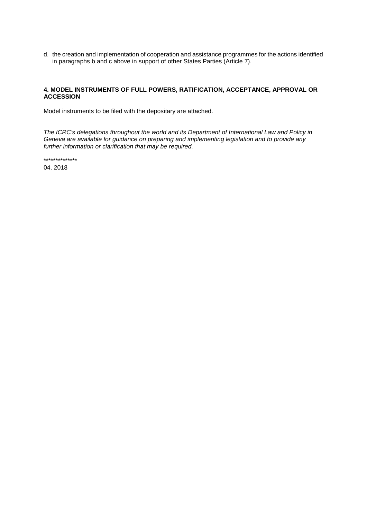d. the creation and implementation of cooperation and assistance programmes for the actions identified in paragraphs b and c above in support of other States Parties (Article 7).

# **4. MODEL INSTRUMENTS OF FULL POWERS, RATIFICATION, ACCEPTANCE, APPROVAL OR ACCESSION**

Model instruments to be filed with the depositary are attached.

*The ICRC's delegations throughout the world and its Department of International Law and Policy in Geneva are available for guidance on preparing and implementing legislation and to provide any further information or clarification that may be required.*

\*\*\*\*\*\*\*\*\*\*\*\*\*\*

04. 2018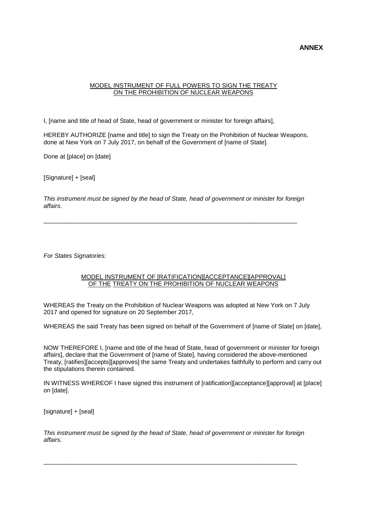# **ANNEX**

## MODEL INSTRUMENT OF FULL POWERS TO SIGN THE TREATY ON THE PROHIBITION OF NUCLEAR WEAPONS

I, [name and title of head of State, head of government or minister for foreign affairs],

HEREBY AUTHORIZE [name and title] to sign the Treaty on the Prohibition of Nuclear Weapons, done at New York on 7 July 2017, on behalf of the Government of [name of State].

Done at [place] on [date]

[Signature] + [seal]

*This instrument must be signed by the head of State, head of government or minister for foreign affairs.* 

\_\_\_\_\_\_\_\_\_\_\_\_\_\_\_\_\_\_\_\_\_\_\_\_\_\_\_\_\_\_\_\_\_\_\_\_\_\_\_\_\_\_\_\_\_\_\_\_\_\_\_\_\_\_\_\_\_\_\_\_\_\_\_\_\_\_\_\_\_\_\_\_\_\_

*For States Signatories:*

#### MODEL INSTRUMENT OF [RATIFICATION][ACCEPTANCE][APPROVAL] OF THE TREATY ON THE PROHIBITION OF NUCLEAR WEAPONS

WHEREAS the Treaty on the Prohibition of Nuclear Weapons was adopted at New York on 7 July 2017 and opened for signature on 20 September 2017,

WHEREAS the said Treaty has been signed on behalf of the Government of [name of State] on [date],

NOW THEREFORE I, [name and title of the head of State, head of government or minister for foreign affairs], declare that the Government of [name of State], having considered the above-mentioned Treaty, [ratifies][accepts][approves] the same Treaty and undertakes faithfully to perform and carry out the stipulations therein contained.

IN WITNESS WHEREOF I have signed this instrument of [ratification][acceptance][approval] at [place] on [date].

[signature] + [seal]

*This instrument must be signed by the head of State, head of government or minister for foreign affairs.* 

\_\_\_\_\_\_\_\_\_\_\_\_\_\_\_\_\_\_\_\_\_\_\_\_\_\_\_\_\_\_\_\_\_\_\_\_\_\_\_\_\_\_\_\_\_\_\_\_\_\_\_\_\_\_\_\_\_\_\_\_\_\_\_\_\_\_\_\_\_\_\_\_\_\_